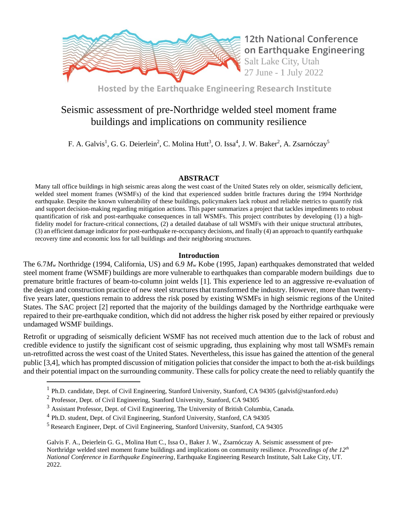

**12th National Conference** on Earthquake Engineering Salt Lake City, Utah 27 June - 1 July 2022

Hosted by the Earthquake Engineering Research Institute

# Seismic assessment of pre-Northridge welded steel moment frame buildings and implications on community resilience

F. A. Galvis<sup>1</sup>, G. G. Deierlein<sup>2</sup>, C. Molina Hutt<sup>3</sup>, O. Issa<sup>4</sup>, J. W. Baker<sup>2</sup>, A. Zsarnóczay<sup>5</sup>

## **ABSTRACT**

Many tall office buildings in high seismic areas along the west coast of the United States rely on older, seismically deficient, welded steel moment frames (WSMFs) of the kind that experienced sudden brittle fractures during the 1994 Northridge earthquake. Despite the known vulnerability of these buildings, policymakers lack robust and reliable metrics to quantify risk and support decision-making regarding mitigation actions. This paper summarizes a project that tackles impediments to robust quantification of risk and post-earthquake consequences in tall WSMFs. This project contributes by developing (1) a highfidelity model for fracture-critical connections, (2) a detailed database of tall WSMFs with their unique structural attributes, (3) an efficient damage indicator for post-earthquake re-occupancy decisions, and finally (4) an approach to quantify earthquake recovery time and economic loss for tall buildings and their neighboring structures.

## **Introduction**

The 6.7*M<sup>w</sup>* Northridge (1994, California, US) and 6.9 *M<sup>w</sup>* Kobe (1995, Japan) earthquakes demonstrated that welded steel moment frame (WSMF) buildings are more vulnerable to earthquakes than comparable modern buildings due to premature brittle fractures of beam-to-column joint welds [1]. This experience led to an aggressive re-evaluation of the design and construction practice of new steel structures that transformed the industry. However, more than twentyfive years later, questions remain to address the risk posed by existing WSMFs in high seismic regions of the United States. The SAC project [2] reported that the majority of the buildings damaged by the Northridge earthquake were repaired to their pre-earthquake condition, which did not address the higher risk posed by either repaired or previously undamaged WSMF buildings.

Retrofit or upgrading of seismically deficient WSMF has not received much attention due to the lack of robust and credible evidence to justify the significant cost of seismic upgrading, thus explaining why most tall WSMFs remain un-retrofitted across the west coast of the United States. Nevertheless, this issue has gained the attention of the general public [3,4], which has prompted discussion of mitigation policies that consider the impact to both the at-risk buildings and their potential impact on the surrounding community. These calls for policy create the need to reliably quantify the

Galvis F. A., Deierlein G. G., Molina Hutt C., Issa O., Baker J. W., Zsarnóczay A. Seismic assessment of pre-Northridge welded steel moment frame buildings and implications on community resilience. *Proceedings of the 12th National Conference in Earthquake Engineering*, Earthquake Engineering Research Institute, Salt Lake City, UT. 2022.

<sup>&</sup>lt;sup>1</sup> Ph.D. candidate, Dept. of Civil Engineering, Stanford University, Stanford, CA 94305 (galvisf@stanford.edu)

 $2$  Professor, Dept. of Civil Engineering, Stanford University, Stanford, CA 94305

<sup>&</sup>lt;sup>3</sup> Assistant Professor, Dept. of Civil Engineering, The University of British Columbia, Canada.

<sup>&</sup>lt;sup>4</sup> Ph.D. student, Dept. of Civil Engineering, Stanford University, Stanford, CA 94305

<sup>5</sup> Research Engineer, Dept. of Civil Engineering, Stanford University, Stanford, CA 94305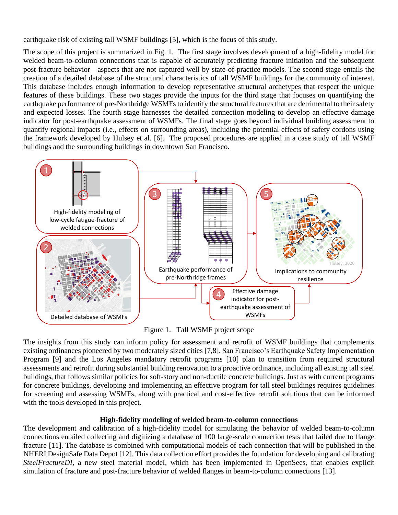earthquake risk of existing tall WSMF buildings [5], which is the focus of this study.

The scope of this project is summarized in Fig. 1. The first stage involves development of a high-fidelity model for welded beam-to-column connections that is capable of accurately predicting fracture initiation and the subsequent post-fracture behavior—aspects that are not captured well by state-of-practice models. The second stage entails the creation of a detailed database of the structural characteristics of tall WSMF buildings for the community of interest. This database includes enough information to develop representative structural archetypes that respect the unique features of these buildings. These two stages provide the inputs for the third stage that focuses on quantifying the earthquake performance of pre-Northridge WSMFs to identify the structural features that are detrimental to their safety and expected losses. The fourth stage harnesses the detailed connection modeling to develop an effective damage indicator for post-earthquake assessment of WSMFs. The final stage goes beyond individual building assessment to quantify regional impacts (i.e., effects on surrounding areas), including the potential effects of safety cordons using the framework developed by Hulsey et al. [6]. The proposed procedures are applied in a case study of tall WSMF buildings and the surrounding buildings in downtown San Francisco.



Figure 1. Tall WSMF project scope

The insights from this study can inform policy for assessment and retrofit of WSMF buildings that complements existing ordinances pioneered by two moderately sized cities [7,8]. San Francisco's Earthquake Safety Implementation Program [9] and the Los Angeles mandatory retrofit programs [10] plan to transition from required structural assessments and retrofit during substantial building renovation to a proactive ordinance, including all existing tall steel buildings, that follows similar policies for soft-story and non-ductile concrete buildings. Just as with current programs for concrete buildings, developing and implementing an effective program for tall steel buildings requires guidelines for screening and assessing WSMFs, along with practical and cost-effective retrofit solutions that can be informed with the tools developed in this project.

### **High-fidelity modeling of welded beam-to-column connections**

The development and calibration of a high-fidelity model for simulating the behavior of welded beam-to-column connections entailed collecting and digitizing a database of 100 large-scale connection tests that failed due to flange fracture [11]. The database is combined with computational models of each connection that will be published in the NHERI DesignSafe Data Depot [12]. This data collection effort provides the foundation for developing and calibrating *SteelFractureDI*, a new steel material model, which has been implemented in OpenSees, that enables explicit simulation of fracture and post-fracture behavior of welded flanges in beam-to-column connections [13].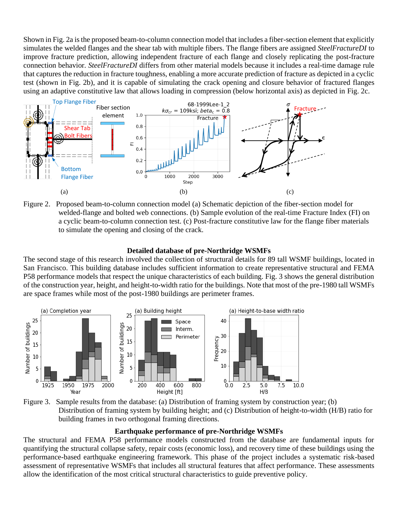Shown in Fig. 2a is the proposed beam-to-column connection model that includes a fiber-section element that explicitly simulates the welded flanges and the shear tab with multiple fibers. The flange fibers are assigned *SteelFractureDI* to improve fracture prediction, allowing independent fracture of each flange and closely replicating the post-fracture connection behavior. *SteelFractureDI* differs from other material models because it includes a real-time damage rule that captures the reduction in fracture toughness, enabling a more accurate prediction of fracture as depicted in a cyclic test (shown in Fig. 2b), and it is capable of simulating the crack opening and closure behavior of fractured flanges using an adaptive constitutive law that allows loading in compression (below horizontal axis) as depicted in Fig. 2c.



Figure 2. Proposed beam-to-column connection model (a) Schematic depiction of the fiber-section model for welded-flange and bolted web connections. (b) Sample evolution of the real-time Fracture Index (FI) on a cyclic beam-to-column connection test. (c) Post-fracture constitutive law for the flange fiber materials to simulate the opening and closing of the crack.

#### **Detailed database of pre-Northridge WSMFs**

The second stage of this research involved the collection of structural details for 89 tall WSMF buildings, located in San Francisco. This building database includes sufficient information to create representative structural and FEMA P58 performance models that respect the unique characteristics of each building. Fig. 3 shows the general distribution of the construction year, height, and height-to-width ratio for the buildings. Note that most of the pre-1980 tall WSMFs are space frames while most of the post-1980 buildings are perimeter frames.





#### **Earthquake performance of pre-Northridge WSMFs**

The structural and FEMA P58 performance models constructed from the database are fundamental inputs for quantifying the structural collapse safety, repair costs (economic loss), and recovery time of these buildings using the performance-based earthquake engineering framework. This phase of the project includes a systematic risk-based assessment of representative WSMFs that includes all structural features that affect performance. These assessments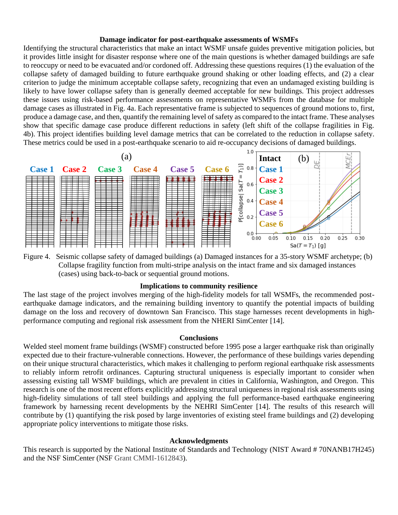#### **Damage indicator for post-earthquake assessments of WSMFs**

Identifying the structural characteristics that make an intact WSMF unsafe guides preventive mitigation policies, but it provides little insight for disaster response where one of the main questions is whether damaged buildings are safe to reoccupy or need to be evacuated and/or cordoned off. Addressing these questions requires (1) the evaluation of the collapse safety of damaged building to future earthquake ground shaking or other loading effects, and (2) a clear criterion to judge the minimum acceptable collapse safety, recognizing that even an undamaged existing building is likely to have lower collapse safety than is generally deemed acceptable for new buildings. This project addresses these issues using risk-based performance assessments on representative WSMFs from the database for multiple damage cases as illustrated in Fig. 4a. Each representative frame is subjected to sequences of ground motions to, first, produce a damage case, and then, quantify the remaining level of safety as compared to the intact frame. These analyses show that specific damage case produce different reductions in safety (left shift of the collapse fragilities in Fig. 4b). This project identifies building level damage metrics that can be correlated to the reduction in collapse safety. These metrics could be used in a post-earthquake scenario to aid re-occupancy decisions of damaged buildings.



Figure 4. Seismic collapse safety of damaged buildings (a) Damaged instances for a 35-story WSMF archetype; (b) Collapse fragility function from multi-stripe analysis on the intact frame and six damaged instances (cases) using back-to-back or sequential ground motions.

#### **Implications to community resilience**

The last stage of the project involves merging of the high-fidelity models for tall WSMFs, the recommended postearthquake damage indicators, and the remaining building inventory to quantify the potential impacts of building damage on the loss and recovery of downtown San Francisco. This stage harnesses recent developments in highperformance computing and regional risk assessment from the NHERI SimCenter [14].

#### **Conclusions**

Welded steel moment frame buildings (WSMF) constructed before 1995 pose a larger earthquake risk than originally expected due to their fracture-vulnerable connections. However, the performance of these buildings varies depending on their unique structural characteristics, which makes it challenging to perform regional earthquake risk assessments to reliably inform retrofit ordinances. Capturing structural uniqueness is especially important to consider when assessing existing tall WSMF buildings, which are prevalent in cities in California, Washington, and Oregon. This research is one of the most recent efforts explicitly addressing structural uniqueness in regional risk assessments using high-fidelity simulations of tall steel buildings and applying the full performance-based earthquake engineering framework by harnessing recent developments by the NEHRI SimCenter [14]. The results of this research will contribute by (1) quantifying the risk posed by large inventories of existing steel frame buildings and (2) developing appropriate policy interventions to mitigate those risks.

#### **Acknowledgments**

This research is supported by the National Institute of Standards and Technology (NIST Award # 70NANB17H245) and the NSF SimCenter (NSF Grant CMMI-1612843).